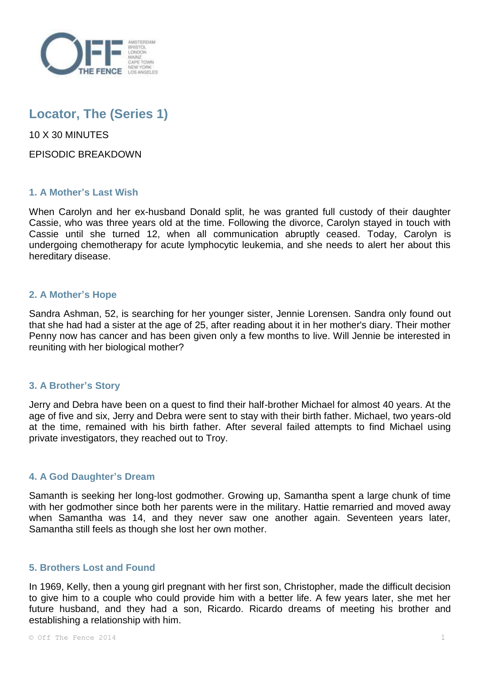

# **Locator, The (Series 1)**

10 X 30 MINUTES

EPISODIC BREAKDOWN

# **1. A Mother's Last Wish**

When Carolyn and her ex-husband Donald split, he was granted full custody of their daughter Cassie, who was three years old at the time. Following the divorce, Carolyn stayed in touch with Cassie until she turned 12, when all communication abruptly ceased. Today, Carolyn is undergoing chemotherapy for acute lymphocytic leukemia, and she needs to alert her about this hereditary disease.

## **2. A Mother's Hope**

Sandra Ashman, 52, is searching for her younger sister, Jennie Lorensen. Sandra only found out that she had had a sister at the age of 25, after reading about it in her mother's diary. Their mother Penny now has cancer and has been given only a few months to live. Will Jennie be interested in reuniting with her biological mother?

## **3. A Brother's Story**

Jerry and Debra have been on a quest to find their half-brother Michael for almost 40 years. At the age of five and six, Jerry and Debra were sent to stay with their birth father. Michael, two years-old at the time, remained with his birth father. After several failed attempts to find Michael using private investigators, they reached out to Troy.

# **4. A God Daughter's Dream**

Samanth is seeking her long-lost godmother. Growing up, Samantha spent a large chunk of time with her godmother since both her parents were in the military. Hattie remarried and moved away when Samantha was 14, and they never saw one another again. Seventeen years later, Samantha still feels as though she lost her own mother.

## **5. Brothers Lost and Found**

In 1969, Kelly, then a young girl pregnant with her first son, Christopher, made the difficult decision to give him to a couple who could provide him with a better life. A few years later, she met her future husband, and they had a son, Ricardo. Ricardo dreams of meeting his brother and establishing a relationship with him.